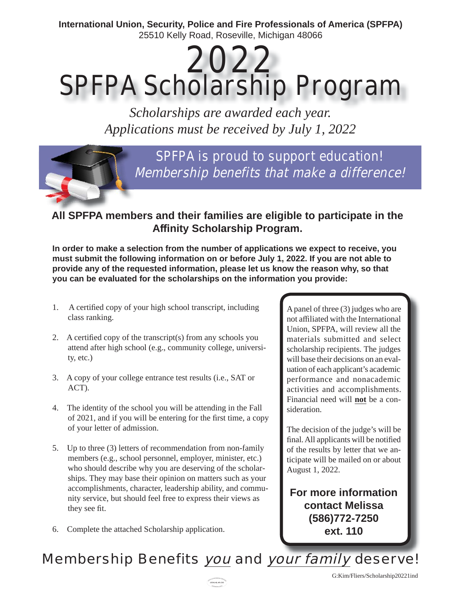International Union, Security, Police and Fire Professionals of America (SPFPA) 25510 Kelly Road, Roseville, Michigan 48066

# 2022 **SPFPA Scholarship Program**

Scholarships are awarded each year. Applications must be received by July 1, 2022

> SPFPA is proud to support education! Membership benefits that make a difference!

All SPFPA members and their families are eligible to participate in the **Affinity Scholarship Program.** 

In order to make a selection from the number of applications we expect to receive, you must submit the following information on or before July 1, 2022. If you are not able to provide any of the requested information, please let us know the reason why, so that you can be evaluated for the scholarships on the information you provide:

- $1.$ A certified copy of your high school transcript, including class ranking.
- 2. A certified copy of the transcript(s) from any schools you attend after high school (e.g., community college, universi $ty, etc.$ )
- 3. A copy of your college entrance test results (i.e., SAT or  $ACT$ ).
- 4. The identity of the school you will be attending in the Fall of 2021, and if you will be entering for the first time, a copy of your letter of admission.
- 5. Up to three (3) letters of recommendation from non-family members (e.g., school personnel, employer, minister, etc.) who should describe why you are deserving of the scholarships. They may base their opinion on matters such as your accomplishments, character, leadership ability, and community service, but should feel free to express their views as they see fit.
- 6. Complete the attached Scholarship application.

A panel of three (3) judges who are not affiliated with the International Union, SPFPA, will review all the materials submitted and select scholarship recipients. The judges will base their decisions on an evaluation of each applicant's academic performance and nonacademic activities and accomplishments. Financial need will not be a consideration.

The decision of the judge's will be final. All applicants will be notified of the results by letter that we anticipate will be mailed on or about August 1, 2022.

For more information **contact Melissa** (586) 772-7250 ext. 110

### Membership Benefits you and your family deserve!